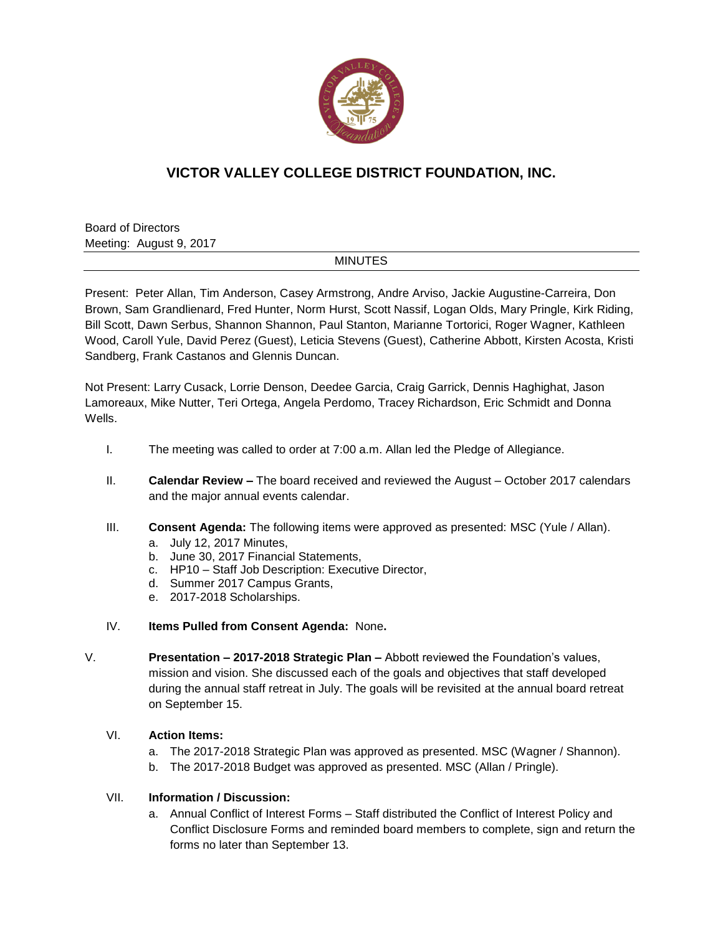

# **VICTOR VALLEY COLLEGE DISTRICT FOUNDATION, INC.**

Board of Directors Meeting: August 9, 2017

### MINUTES

Present: Peter Allan, Tim Anderson, Casey Armstrong, Andre Arviso, Jackie Augustine-Carreira, Don Brown, Sam Grandlienard, Fred Hunter, Norm Hurst, Scott Nassif, Logan Olds, Mary Pringle, Kirk Riding, Bill Scott, Dawn Serbus, Shannon Shannon, Paul Stanton, Marianne Tortorici, Roger Wagner, Kathleen Wood, Caroll Yule, David Perez (Guest), Leticia Stevens (Guest), Catherine Abbott, Kirsten Acosta, Kristi Sandberg, Frank Castanos and Glennis Duncan.

Not Present: Larry Cusack, Lorrie Denson, Deedee Garcia, Craig Garrick, Dennis Haghighat, Jason Lamoreaux, Mike Nutter, Teri Ortega, Angela Perdomo, Tracey Richardson, Eric Schmidt and Donna Wells.

- I. The meeting was called to order at 7:00 a.m. Allan led the Pledge of Allegiance.
- II. **Calendar Review –** The board received and reviewed the August October 2017 calendars and the major annual events calendar.
- III. **Consent Agenda:** The following items were approved as presented: MSC (Yule / Allan). a. July 12, 2017 Minutes,
	- b. June 30, 2017 Financial Statements,
	- c. HP10 Staff Job Description: Executive Director,
	- d. Summer 2017 Campus Grants,
	- e. 2017-2018 Scholarships.
- IV. **Items Pulled from Consent Agenda:** None**.**
- V. **Presentation – 2017-2018 Strategic Plan –** Abbott reviewed the Foundation's values, mission and vision. She discussed each of the goals and objectives that staff developed during the annual staff retreat in July. The goals will be revisited at the annual board retreat on September 15.

### VI. **Action Items:**

- a. The 2017-2018 Strategic Plan was approved as presented. MSC (Wagner / Shannon).
- b. The 2017-2018 Budget was approved as presented. MSC (Allan / Pringle).

## VII. **Information / Discussion:**

a. Annual Conflict of Interest Forms – Staff distributed the Conflict of Interest Policy and Conflict Disclosure Forms and reminded board members to complete, sign and return the forms no later than September 13.